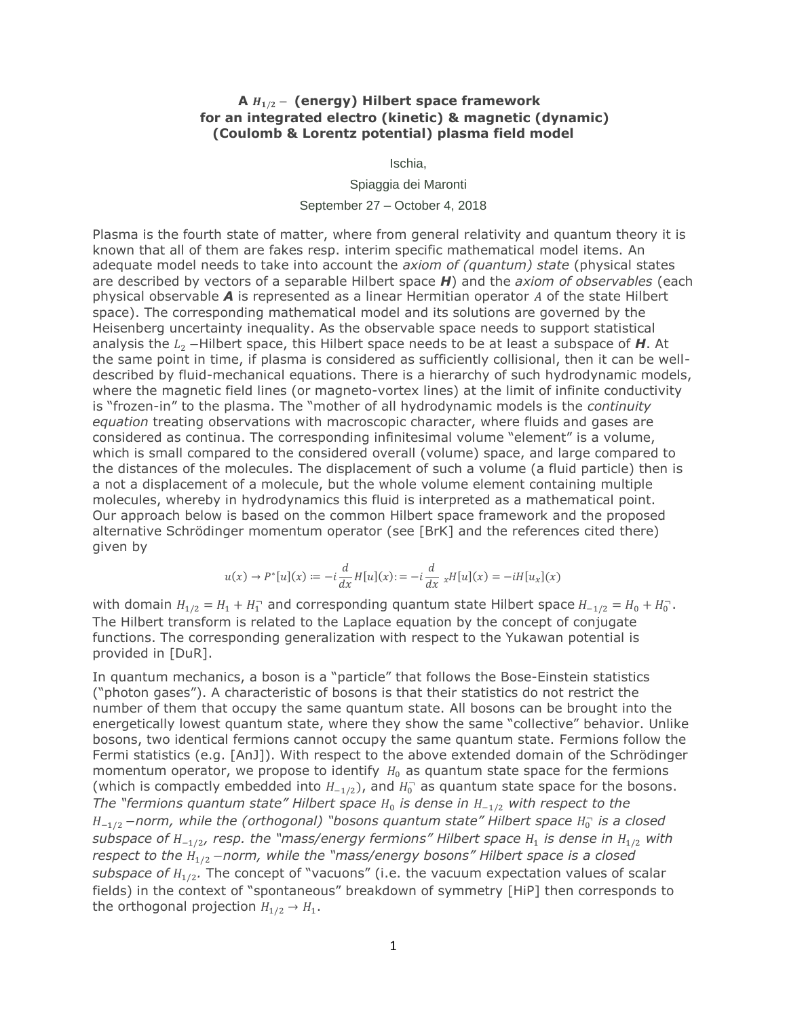## **A** / − **(energy) Hilbert space framework for an integrated electro (kinetic) & magnetic (dynamic) (Coulomb & Lorentz potential) plasma field model**

Ischia,

Spiaggia dei Maronti

September 27 – October 4, 2018

Plasma is the fourth state of matter, where from general relativity and quantum theory it is known that all of them are fakes resp. interim specific mathematical model items. An adequate model needs to take into account the *axiom of (quantum) state* (physical states are described by vectors of a separable Hilbert space *H*) and the *axiom of observables* (each physical observable **A** is represented as a linear Hermitian operator A of the state Hilbert space). The corresponding mathematical model and its solutions are governed by the Heisenberg uncertainty inequality. As the observable space needs to support statistical analysis the  $L_2$  −Hilbert space, this Hilbert space needs to be at least a subspace of *H*. At the same point in time, if plasma is considered as sufficiently collisional, then it can be welldescribed by fluid-mechanical equations. There is a hierarchy of such hydrodynamic models, where the magnetic field lines (or magneto-vortex lines) at the limit of infinite conductivity is "frozen-in" to the plasma. The "mother of all hydrodynamic models is the *continuity equation* treating observations with macroscopic character, where fluids and gases are considered as continua. The corresponding infinitesimal volume "element" is a volume, which is small compared to the considered overall (volume) space, and large compared to the distances of the molecules. The displacement of such a volume (a fluid particle) then is a not a displacement of a molecule, but the whole volume element containing multiple molecules, whereby in hydrodynamics this fluid is interpreted as a mathematical point. Our approach below is based on the common Hilbert space framework and the proposed alternative Schrödinger momentum operator (see [BrK] and the references cited there) given by

$$
u(x) \rightarrow P^*[u](x) \coloneqq -i \frac{d}{dx} H[u](x) \coloneqq -i \frac{d}{dx} \; _x H[u](x) = -iH[u_x](x)
$$

with domain  $H_{1/2} = H_1 + H_1$  and corresponding quantum state Hilbert space  $H_{-1/2} = H_0 + H_0$ . The Hilbert transform is related to the Laplace equation by the concept of conjugate functions. The corresponding generalization with respect to the Yukawan potential is provided in [DuR].

In quantum mechanics, a boson is a "particle" that follows the Bose-Einstein statistics ("photon gases"). A characteristic of bosons is that their statistics do not restrict the number of them that occupy the same quantum state. All bosons can be brought into the energetically lowest quantum state, where they show the same "collective" behavior. Unlike bosons, two identical fermions cannot occupy the same quantum state. Fermions follow the Fermi statistics (e.g. [AnJ]). With respect to the above extended domain of the Schrödinger momentum operator, we propose to identify  $H_0$  as quantum state space for the fermions (which is compactly embedded into  $H_{-1/2}$ ), and  $H_0^-$  as quantum state space for the bosons. *The "fermions quantum state" Hilbert space H*<sub>0</sub> is dense in  $H_{-1/2}$  with respect to the  $H_{-1/2}$  −norm, while the (orthogonal) "bosons quantum state" Hilbert space  $H_0^-$  is a closed *subspace of H\_* $_{\rm 1/2}$ *, resp. the "mass/energy fermions" Hilbert space H* $_{\rm 1}$  *is dense in H* $_{\rm 1/2}$  *with respect to the* 1/2 −*norm, while the "mass/energy bosons" Hilbert space is a closed*  subspace of  $H_{1/2}$ . The concept of "vacuons" (i.e. the vacuum expectation values of scalar fields) in the context of "spontaneous" breakdown of symmetry [HiP] then corresponds to the orthogonal projection  $H_{1/2} \rightarrow H_1$ .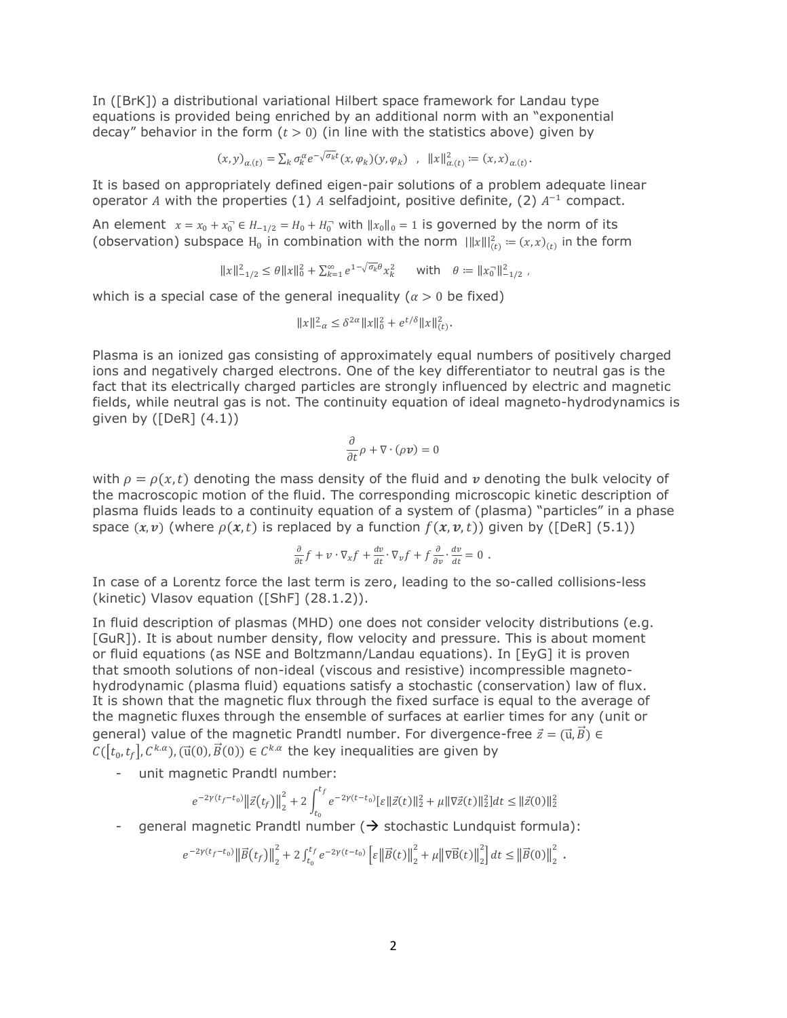In ([BrK]) a distributional variational Hilbert space framework for Landau type equations is provided being enriched by an additional norm with an "exponential decay" behavior in the form  $(t > 0)$  (in line with the statistics above) given by

$$
(x,y)_{\alpha.(t)} = \sum_k \sigma_k^{\alpha} e^{-\sqrt{\sigma_k}t} (x,\varphi_k)(y,\varphi_k) \quad , \quad ||x||_{\alpha.(t)}^2 := (x,x)_{\alpha.(t)}.
$$

It is based on appropriately defined eigen-pair solutions of a problem adequate linear operator A with the properties (1) A selfadjoint, positive definite, (2)  $A^{-1}$  compact.

An element  $x = x_0 + x_0^- \in H_{-1/2} = H_0 + H_0^-$  with  $||x_0||_0 = 1$  is governed by the norm of its (observation) subspace H<sub>0</sub> in combination with the norm  $\|f(x)\|_{(t)}^2 := (x, x)_{(t)}$  in the form

$$
||x||_{-1/2}^2 \le \theta ||x||_0^2 + \sum_{k=1}^{\infty} e^{1-\sqrt{\sigma_k} \theta} x_k^2 \quad \text{with} \quad \theta := ||x_0||_{-1/2}^2 \ ,
$$

which is a special case of the general inequality ( $\alpha > 0$  be fixed)

$$
||x||_{-\alpha}^2 \le \delta^{2\alpha} ||x||_0^2 + e^{t/\delta} ||x||_{(t)}^2.
$$

Plasma is an ionized gas consisting of approximately equal numbers of positively charged ions and negatively charged electrons. One of the key differentiator to neutral gas is the fact that its electrically charged particles are strongly influenced by electric and magnetic fields, while neutral gas is not. The continuity equation of ideal magneto-hydrodynamics is given by  $(\text{[DeR]} (4.1))$ 

$$
\frac{\partial}{\partial t}\rho+\nabla\cdot(\rho\textit{\textbf{v}})=0
$$

with  $\rho = \rho(x,t)$  denoting the mass density of the fluid and v denoting the bulk velocity of the macroscopic motion of the fluid. The corresponding microscopic kinetic description of plasma fluids leads to a continuity equation of a system of (plasma) "particles" in a phase space  $(x, v)$  (where  $\rho(x, t)$  is replaced by a function  $f(x, v, t)$ ) given by ([DeR] (5.1))

$$
\frac{\partial}{\partial t}f + v \cdot \nabla_x f + \frac{dv}{dt} \cdot \nabla_v f + f \frac{\partial}{\partial v} \cdot \frac{dv}{dt} = 0.
$$

In case of a Lorentz force the last term is zero, leading to the so-called collisions-less (kinetic) Vlasov equation ([ShF] (28.1.2)).

In fluid description of plasmas (MHD) one does not consider velocity distributions (e.g. [GuR]). It is about number density, flow velocity and pressure. This is about moment or fluid equations (as NSE and Boltzmann/Landau equations). In [EyG] it is proven that smooth solutions of non-ideal (viscous and resistive) incompressible magnetohydrodynamic (plasma fluid) equations satisfy a stochastic (conservation) law of flux. It is shown that the magnetic flux through the fixed surface is equal to the average of the magnetic fluxes through the ensemble of surfaces at earlier times for any (unit or general) value of the magnetic Prandtl number. For divergence-free  $\vec{z} = (\vec{u}, \vec{B}) \in$  $C([t_0, t_f], C^{k,\alpha})$ , ( $\vec{u}(0), \vec{B}(0)) \in C^{k,\alpha}$  the key inequalities are given by

- unit magnetic Prandtl number:

$$
e^{-2\gamma(t_f-t_0)}\|\vec{z}(t_f)\|_2^2 + 2\int_{t_0}^{t_f}e^{-2\gamma(t-t_0)}[\varepsilon\|\vec{z}(t)\|_2^2 + \mu\|\nabla\vec{z}(t)\|_2^2]dt \le \|\vec{z}(0)\|_2^2
$$

- general magnetic Prandtl number  $(\rightarrow$  stochastic Lundquist formula):

$$
e^{-2\gamma(t_f-t_0)}\left\|\vec{B}(t_f)\right\|_2^2 + 2\int_{t_0}^{t_f}e^{-2\gamma(t-t_0)}\left[\varepsilon\left\|\vec{B}(t)\right\|_2^2 + \mu\left\|\nabla\vec{B}(t)\right\|_2^2\right]dt \le \left\|\vec{B}(0)\right\|_2^2.
$$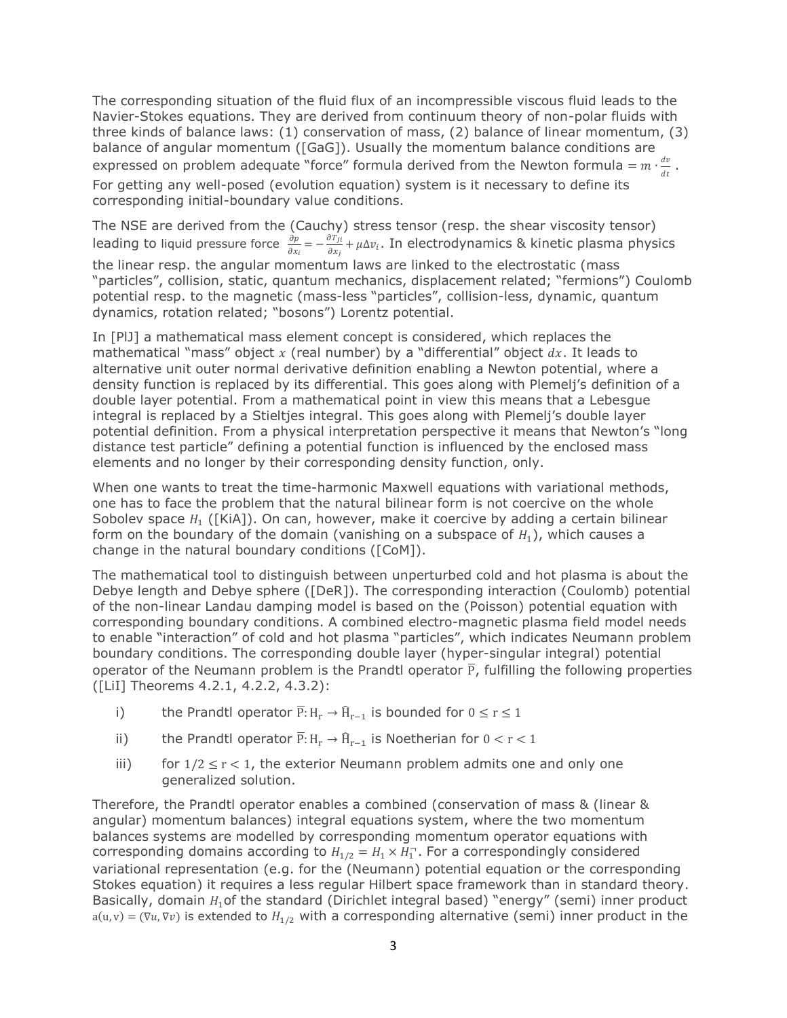The corresponding situation of the fluid flux of an incompressible viscous fluid leads to the Navier-Stokes equations. They are derived from continuum theory of non-polar fluids with three kinds of balance laws: (1) conservation of mass, (2) balance of linear momentum, (3) balance of angular momentum ([GaG]). Usually the momentum balance conditions are expressed on problem adequate "force" formula derived from the Newton formula =  $m \cdot \frac{dv}{dt}$  $\frac{dv}{dt}$ . For getting any well-posed (evolution equation) system is it necessary to define its corresponding initial-boundary value conditions.

The NSE are derived from the (Cauchy) stress tensor (resp. the shear viscosity tensor) leading to liquid pressure force  $\frac{\partial p}{\partial x}$  $\frac{\partial p}{\partial x_i} = -\frac{\partial T_{ji}}{\partial x_j}$  $\frac{\partial H_{ji}}{\partial x_j}$ + $\mu$ ∆ $v_i$ . In electrodynamics & kinetic plasma physics the linear resp. the angular momentum laws are linked to the electrostatic (mass "particles", collision, static, quantum mechanics, displacement related; "fermions") Coulomb potential resp. to the magnetic (mass-less "particles", collision-less, dynamic, quantum dynamics, rotation related; "bosons") Lorentz potential.

In [PlJ] a mathematical mass element concept is considered, which replaces the mathematical "mass" object  $x$  (real number) by a "differential" object  $dx$ . It leads to alternative unit outer normal derivative definition enabling a Newton potential, where a density function is replaced by its differential. This goes along with Plemelj's definition of a double layer potential. From a mathematical point in view this means that a Lebesgue integral is replaced by a Stieltjes integral. This goes along with Plemelj's double layer potential definition. From a physical interpretation perspective it means that Newton's "long distance test particle" defining a potential function is influenced by the enclosed mass elements and no longer by their corresponding density function, only.

When one wants to treat the time-harmonic Maxwell equations with variational methods, one has to face the problem that the natural bilinear form is not coercive on the whole Sobolev space  $H_1$  ([KiA]). On can, however, make it coercive by adding a certain bilinear form on the boundary of the domain (vanishing on a subspace of  $H_1$ ), which causes a change in the natural boundary conditions ([CoM]).

The mathematical tool to distinguish between unperturbed cold and hot plasma is about the Debye length and Debye sphere ([DeR]). The corresponding interaction (Coulomb) potential of the non-linear Landau damping model is based on the (Poisson) potential equation with corresponding boundary conditions. A combined electro-magnetic plasma field model needs to enable "interaction" of cold and hot plasma "particles", which indicates Neumann problem boundary conditions. The corresponding double layer (hyper-singular integral) potential operator of the Neumann problem is the Prandtl operator  $\overline{P}$ , fulfilling the following properties ([LiI] Theorems 4.2.1, 4.2.2, 4.3.2):

- i) the Prandtl operator  $\overline{P}$ : H<sub>r</sub> →  $\widehat{H}_{r-1}$  is bounded for  $0 \le r \le 1$
- ii) the Prandtl operator  $\overline{P}$ : H<sub>r</sub> →  $\widehat{H}_{r-1}$  is Noetherian for  $0 < r < 1$
- iii) for  $1/2 \le r < 1$ , the exterior Neumann problem admits one and only one generalized solution.

Therefore, the Prandtl operator enables a combined (conservation of mass & (linear & angular) momentum balances) integral equations system, where the two momentum balances systems are modelled by corresponding momentum operator equations with corresponding domains according to  $H_{1/2} = H_1 \times H_1$ . For a correspondingly considered variational representation (e.g. for the (Neumann) potential equation or the corresponding Stokes equation) it requires a less regular Hilbert space framework than in standard theory. Basically, domain  $H_1$  of the standard (Dirichlet integral based) "energy" (semi) inner product  $a(u, v) = (\nabla u, \nabla v)$  is extended to  $H_{1/2}$  with a corresponding alternative (semi) inner product in the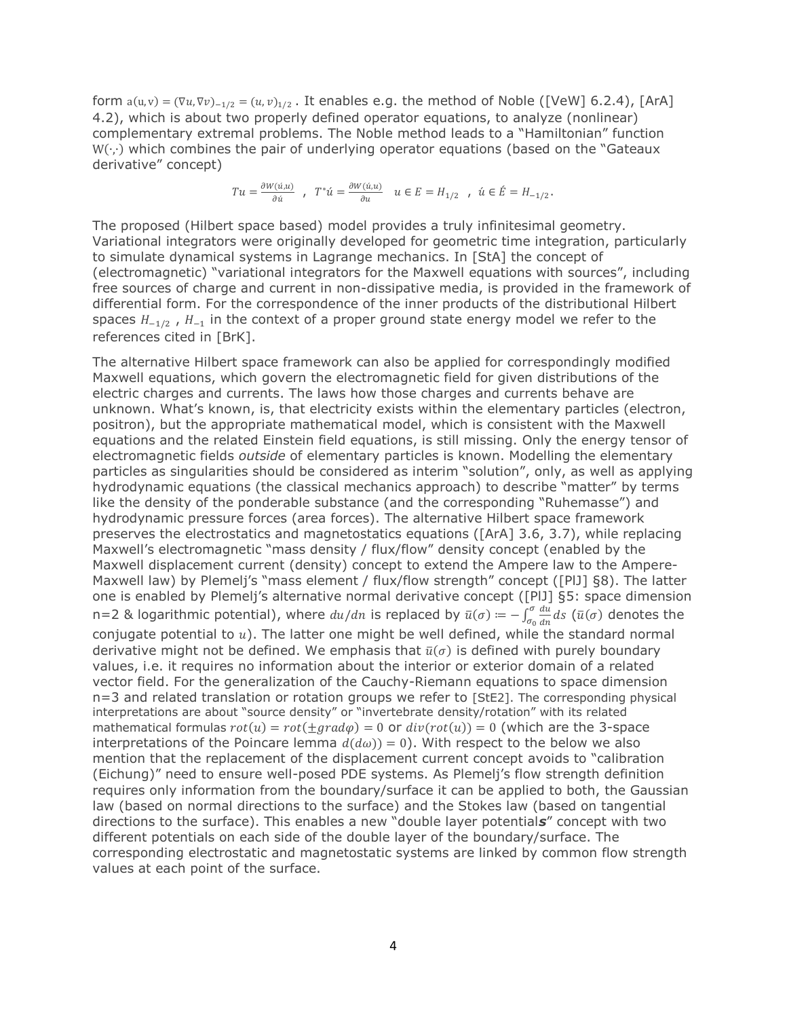form  $a(u, v) = (\nabla u, \nabla v)_{-1/2} = (u, v)_{1/2}$ . It enables e.g. the method of Noble ([VeW] 6.2.4), [ArA] 4.2), which is about two properly defined operator equations, to analyze (nonlinear) complementary extremal problems. The Noble method leads to a "Hamiltonian" function W(∙,∙) which combines the pair of underlying operator equations (based on the "Gateaux derivative" concept)

$$
Tu=\frac{\partial W(\dot u,u)}{\partial \dot u}\ ,\ \ T^*\dot u=\frac{\partial W(\dot u,u)}{\partial u}\quad u\in E=H_{1/2}\ \ ,\ \dot u\in \dot E=H_{-1/2}\, .
$$

The proposed (Hilbert space based) model provides a truly infinitesimal geometry. Variational integrators were originally developed for geometric time integration, particularly to simulate dynamical systems in Lagrange mechanics. In [StA] the concept of (electromagnetic) "variational integrators for the Maxwell equations with sources", including free sources of charge and current in non-dissipative media, is provided in the framework of differential form. For the correspondence of the inner products of the distributional Hilbert spaces  $H_{-1/2}$ ,  $H_{-1}$  in the context of a proper ground state energy model we refer to the references cited in [BrK].

The alternative Hilbert space framework can also be applied for correspondingly modified Maxwell equations, which govern the electromagnetic field for given distributions of the electric charges and currents. The laws how those charges and currents behave are unknown. What's known, is, that electricity exists within the elementary particles (electron, positron), but the appropriate mathematical model, which is consistent with the Maxwell equations and the related Einstein field equations, is still missing. Only the energy tensor of electromagnetic fields *outside* of elementary particles is known. Modelling the elementary particles as singularities should be considered as interim "solution", only, as well as applying hydrodynamic equations (the classical mechanics approach) to describe "matter" by terms like the density of the ponderable substance (and the corresponding "Ruhemasse") and hydrodynamic pressure forces (area forces). The alternative Hilbert space framework preserves the electrostatics and magnetostatics equations ([ArA] 3.6, 3.7), while replacing Maxwell's electromagnetic "mass density / flux/flow" density concept (enabled by the Maxwell displacement current (density) concept to extend the Ampere law to the Ampere-Maxwell law) by Plemelj's "mass element / flux/flow strength" concept ([PlJ] §8). The latter one is enabled by Plemelj's alternative normal derivative concept ([PlJ] §5: space dimension n=2 & logarithmic potential), where  $du/dn$  is replaced by  $\bar{u}(\sigma) = -\int_{\sigma}^{\sigma} \frac{du}{dx}$  $\int_{\sigma_0}^{\sigma}\frac{du}{dn}ds$  ( $\bar u(\sigma)$  denotes the conjugate potential to  $u$ ). The latter one might be well defined, while the standard normal derivative might not be defined. We emphasis that  $\bar{u}(\sigma)$  is defined with purely boundary values, i.e. it requires no information about the interior or exterior domain of a related vector field. For the generalization of the Cauchy-Riemann equations to space dimension n=3 and related translation or rotation groups we refer to [StE2]. The corresponding physical interpretations are about "source density" or "invertebrate density/rotation" with its related mathematical formulas  $rot(u) = rot(\pm grad\varphi) = 0$  or  $div(rot(u)) = 0$  (which are the 3-space interpretations of the Poincare lemma  $d(d\omega) = 0$ . With respect to the below we also mention that the replacement of the displacement current concept avoids to "calibration (Eichung)" need to ensure well-posed PDE systems. As Plemelj's flow strength definition requires only information from the boundary/surface it can be applied to both, the Gaussian law (based on normal directions to the surface) and the Stokes law (based on tangential directions to the surface). This enables a new "double layer potential*s*" concept with two different potentials on each side of the double layer of the boundary/surface. The corresponding electrostatic and magnetostatic systems are linked by common flow strength values at each point of the surface.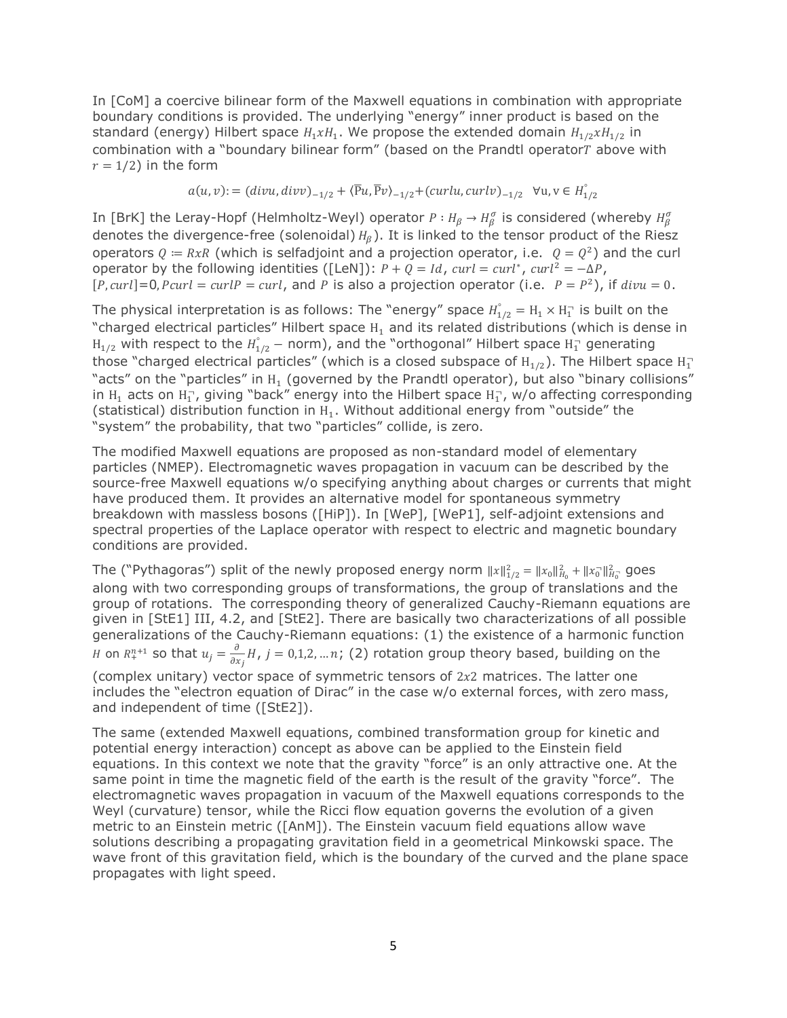In [CoM] a coercive bilinear form of the Maxwell equations in combination with appropriate boundary conditions is provided. The underlying "energy" inner product is based on the standard (energy) Hilbert space  $H_1xH_1$ . We propose the extended domain  $H_{1/2}xH_{1/2}$  in combination with a "boundary bilinear form" (based on the Prandtl operator $T$  above with  $r = 1/2$ ) in the form

$$
a(u, v) := (divu, divv)_{-1/2} + \langle \overline{P}u, \overline{P}v \rangle_{-1/2} + (curlu, curlv)_{-1/2} \quad \forall u, v \in H_{1/2}^{\circ}
$$

In [BrK] the Leray-Hopf (Helmholtz-Weyl) operator  $P:H_\beta\to H_\beta^\sigma$  is considered (whereby  $H_\beta^\sigma$ denotes the divergence-free (solenoidal)  $H_R$ ). It is linked to the tensor product of the Riesz operators  $Q = RxR$  (which is selfadjoint and a projection operator, i.e.  $Q = Q^2$ ) and the curl operator by the following identities ([LeN]):  $P + Q = Id$ ,  $curl = curl^*$ ,  $curl^2 = -\Delta P$ ,  $[P, curl] = 0, Pcurl = curl P = curl$ , and P is also a projection operator (i.e.  $P = P^2$ ), if  $divu = 0$ .

The physical interpretation is as follows: The "energy" space  $H_{1/2}^{\circ} = H_1 \times H_1^{\circ}$  is built on the "charged electrical particles" Hilbert space  $H_1$  and its related distributions (which is dense in  ${\rm H}_{1/2}$  with respect to the  ${\rm H}_{1/2}^{\circ}$  – norm), and the "orthogonal" Hilbert space  ${\rm H}_1^{\circ}$  generating those "charged electrical particles" (which is a closed subspace of  $\rm{H}_{1/2}$ ). The Hilbert space  $\rm{H}_{1}^{-}$ "acts" on the "particles" in  $H_1$  (governed by the Prandtl operator), but also "binary collisions" in  $H_1$  acts on  $H_1^-$ , giving "back" energy into the Hilbert space  $H_1^-$ , w/o affecting corresponding (statistical) distribution function in  $H_1$ . Without additional energy from "outside" the "system" the probability, that two "particles" collide, is zero.

The modified Maxwell equations are proposed as non-standard model of elementary particles (NMEP). Electromagnetic waves propagation in vacuum can be described by the source-free Maxwell equations w/o specifying anything about charges or currents that might have produced them. It provides an alternative model for spontaneous symmetry breakdown with massless bosons ([HiP]). In [WeP], [WeP1], self-adjoint extensions and spectral properties of the Laplace operator with respect to electric and magnetic boundary conditions are provided.

The ("Pythagoras") split of the newly proposed energy norm  $||x||_{1/2}^2 = ||x_0||_{H_0}^2 + ||x_0||_{H_0}^2$  goes along with two corresponding groups of transformations, the group of translations and the group of rotations. The corresponding theory of generalized Cauchy-Riemann equations are given in [StE1] III, 4.2, and [StE2]. There are basically two characterizations of all possible generalizations of the Cauchy-Riemann equations: (1) the existence of a harmonic function *H* on  $R^{n+1}_+$  so that  $u_j = \frac{\partial}{\partial x_j}$  $\frac{\partial}{\partial x_i}H$ ,  $j=0,1,2,...n$ ; (2) rotation group theory based, building on the (complex unitary) vector space of symmetric tensors of  $2x^2$  matrices. The latter one includes the "electron equation of Dirac" in the case w/o external forces, with zero mass, and independent of time ([StE2]).

The same (extended Maxwell equations, combined transformation group for kinetic and potential energy interaction) concept as above can be applied to the Einstein field equations. In this context we note that the gravity "force" is an only attractive one. At the same point in time the magnetic field of the earth is the result of the gravity "force". The electromagnetic waves propagation in vacuum of the Maxwell equations corresponds to the Weyl (curvature) tensor, while the Ricci flow equation governs the evolution of a given metric to an Einstein metric ([AnM]). The Einstein vacuum field equations allow wave solutions describing a propagating gravitation field in a geometrical Minkowski space. The wave front of this gravitation field, which is the boundary of the curved and the plane space propagates with light speed.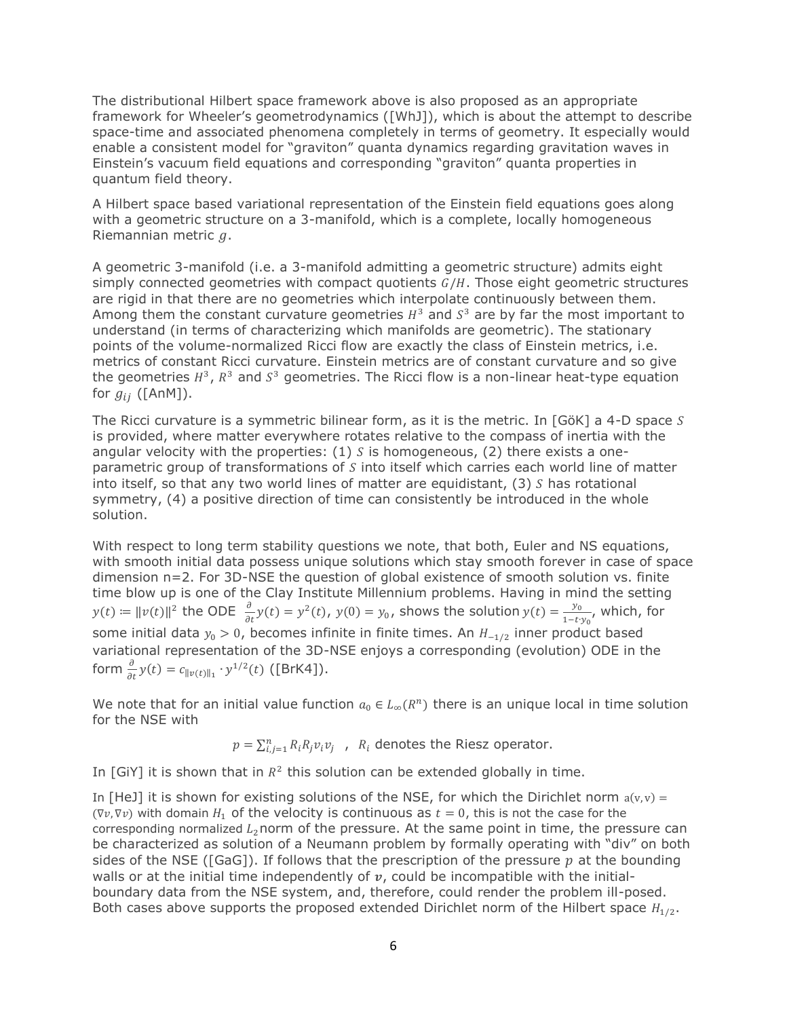The distributional Hilbert space framework above is also proposed as an appropriate framework for Wheeler's geometrodynamics ([WhJ]), which is about the attempt to describe space-time and associated phenomena completely in terms of geometry. It especially would enable a consistent model for "graviton" quanta dynamics regarding gravitation waves in Einstein's vacuum field equations and corresponding "graviton" quanta properties in quantum field theory.

A Hilbert space based variational representation of the Einstein field equations goes along with a geometric structure on a 3-manifold, which is a complete, locally homogeneous Riemannian metric  $q$ .

A geometric 3-manifold (i.e. a 3-manifold admitting a geometric structure) admits eight simply connected geometries with compact quotients  $G/H$ . Those eight geometric structures are rigid in that there are no geometries which interpolate continuously between them. Among them the constant curvature geometries  $H^3$  and  $S^3$  are by far the most important to understand (in terms of characterizing which manifolds are geometric). The stationary points of the volume-normalized Ricci flow are exactly the class of Einstein metrics, i.e. metrics of constant Ricci curvature. Einstein metrics are of constant curvature and so give the geometries  $H^3$ ,  $R^3$  and  $S^3$  geometries. The Ricci flow is a non-linear heat-type equation for  $g_{ij}$  ([AnM]).

The Ricci curvature is a symmetric bilinear form, as it is the metric. In  $[G\ddot{o}K]$  a 4-D space S is provided, where matter everywhere rotates relative to the compass of inertia with the angular velocity with the properties: (1) S is homogeneous, (2) there exists a oneparametric group of transformations of  $S$  into itself which carries each world line of matter into itself, so that any two world lines of matter are equidistant,  $(3)$  S has rotational symmetry, (4) a positive direction of time can consistently be introduced in the whole solution.

With respect to long term stability questions we note, that both, Euler and NS equations, with smooth initial data possess unique solutions which stay smooth forever in case of space dimension n=2. For 3D-NSE the question of global existence of smooth solution vs. finite time blow up is one of the Clay Institute Millennium problems. Having in mind the setting  $y(t) \coloneqq \|v(t)\|^2$  the ODE  $\frac{\partial}{\partial t}y(t) = y^2(t)$ ,  $y(0) = y_0$ , shows the solution  $y(t) = \frac{y_0}{1-t}$ .  $\frac{y_0}{1-t \cdot y_0}$ , which, for some initial data  $y_0 > 0$ , becomes infinite in finite times. An  $H_{-1/2}$  inner product based variational representation of the 3D-NSE enjoys a corresponding (evolution) ODE in the form  $\frac{\partial}{\partial t} y(t) = c_{\|v(t)\|_1} \cdot y^{1/2}(t)$  ([BrK4]).

We note that for an initial value function  $a_0 \in L_\infty(R^n)$  there is an unique local in time solution for the NSE with

 $p = \sum_{i,j=1}^n R_i R_j v_i v_j$ ,  $R_i$  denotes the Riesz operator.

In [GiY] it is shown that in  $R^2$  this solution can be extended globally in time.

In [HeJ] it is shown for existing solutions of the NSE, for which the Dirichlet norm  $a(v, v) =$ ( $\nabla v$ ,  $\nabla v$ ) with domain  $H_1$  of the velocity is continuous as  $t = 0$ , this is not the case for the corresponding normalized  $L_2$ norm of the pressure. At the same point in time, the pressure can be characterized as solution of a Neumann problem by formally operating with "div" on both sides of the NSE ([GaG]). If follows that the prescription of the pressure  $p$  at the bounding walls or at the initial time independently of  $v$ , could be incompatible with the initialboundary data from the NSE system, and, therefore, could render the problem ill-posed. Both cases above supports the proposed extended Dirichlet norm of the Hilbert space  $H_{1/2}$ .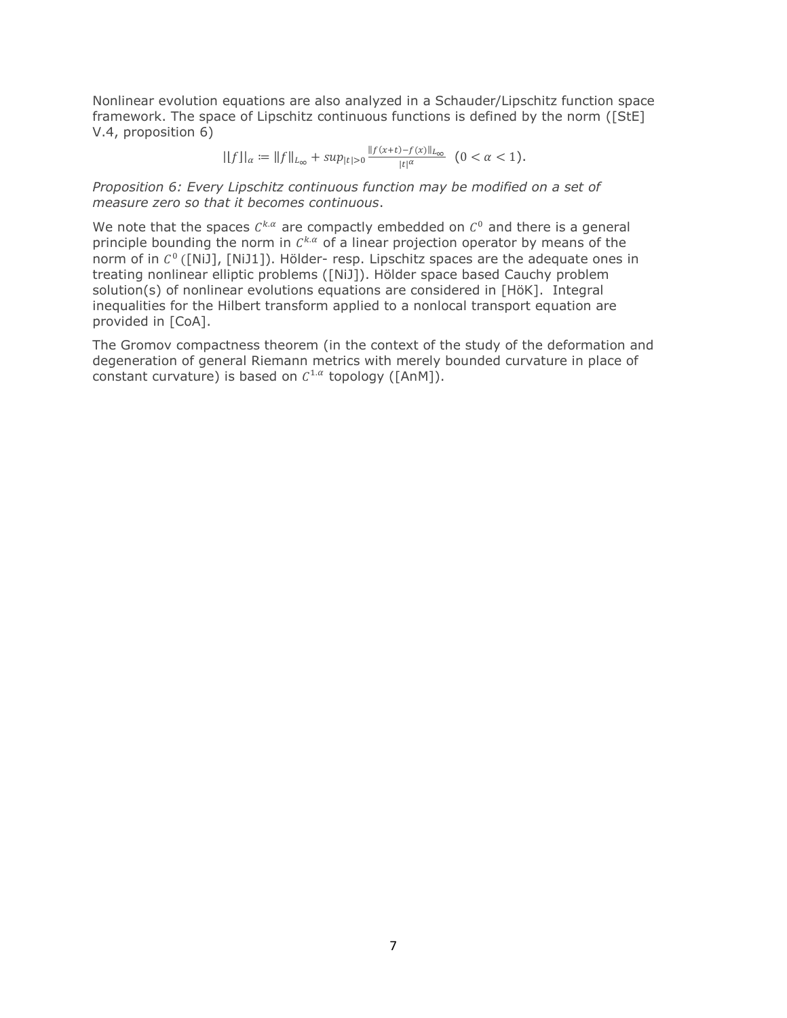Nonlinear evolution equations are also analyzed in a Schauder/Lipschitz function space framework. The space of Lipschitz continuous functions is defined by the norm ([StE] V.4, proposition 6)

$$
||f||_{\alpha} := ||f||_{L_{\infty}} + \sup_{|t|>0} \frac{||f(x+t) - f(x)||_{L_{\infty}}}{|t|^{\alpha}} \quad (0 < \alpha < 1).
$$

*Proposition 6: Every Lipschitz continuous function may be modified on a set of measure zero so that it becomes continuous*.

We note that the spaces  $C^{k,\alpha}$  are compactly embedded on  $C^0$  and there is a general principle bounding the norm in  $C^{k,\alpha}$  of a linear projection operator by means of the norm of in  $C^0$  ([NiJ], [NiJ1]). Hölder- resp. Lipschitz spaces are the adequate ones in treating nonlinear elliptic problems ([NiJ]). Hölder space based Cauchy problem solution(s) of nonlinear evolutions equations are considered in [HöK]. Integral inequalities for the Hilbert transform applied to a nonlocal transport equation are provided in [CoA].

The Gromov compactness theorem (in the context of the study of the deformation and degeneration of general Riemann metrics with merely bounded curvature in place of constant curvature) is based on  $C^{1,\alpha}$  topology ([AnM]).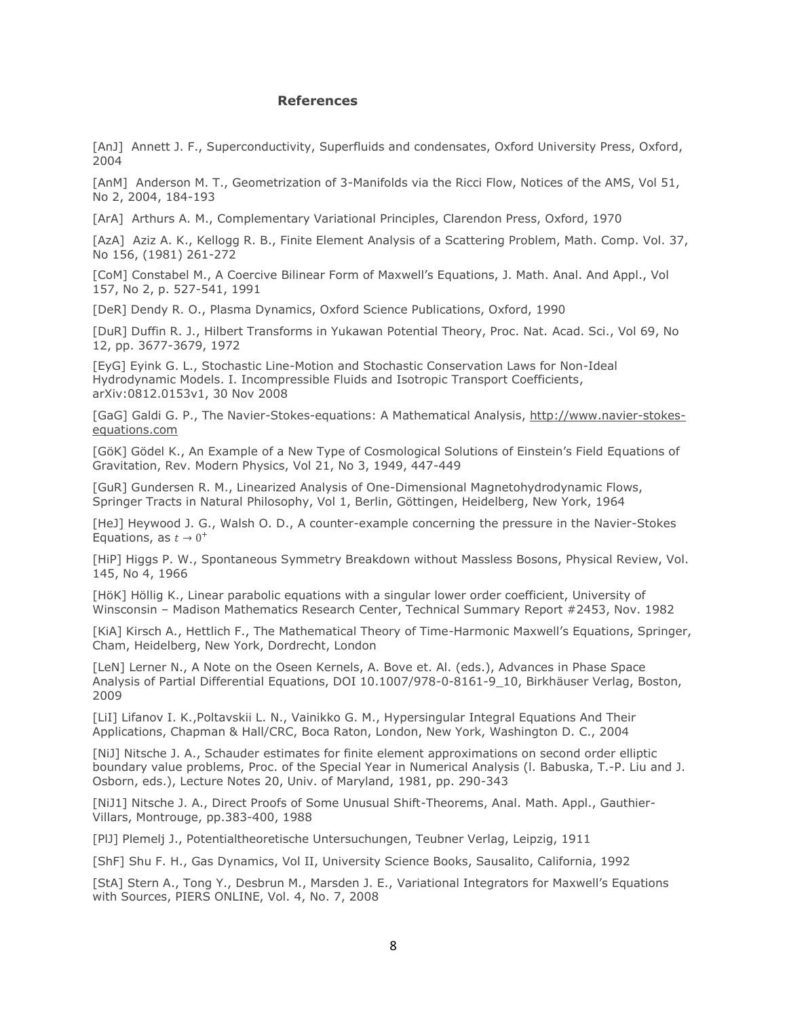## **References**

[AnJ] Annett J. F., Superconductivity, Superfluids and condensates, Oxford University Press, Oxford, 2004

[AnM] Anderson M. T., Geometrization of 3-Manifolds via the Ricci Flow, Notices of the AMS, Vol 51, No 2, 2004, 184-193

[ArA] Arthurs A. M., Complementary Variational Principles, Clarendon Press, Oxford, 1970

[AzA] Aziz A. K., Kellogg R. B., Finite Element Analysis of a Scattering Problem, Math. Comp. Vol. 37, No 156, (1981) 261-272

[CoM] Constabel M., A Coercive Bilinear Form of Maxwell's Equations, J. Math. Anal. And Appl., Vol 157, No 2, p. 527-541, 1991

[DeR] Dendy R. O., Plasma Dynamics, Oxford Science Publications, Oxford, 1990

[DuR] Duffin R. J., Hilbert Transforms in Yukawan Potential Theory, Proc. Nat. Acad. Sci., Vol 69, No 12, pp. 3677-3679, 1972

[EyG] Eyink G. L., Stochastic Line-Motion and Stochastic Conservation Laws for Non-Ideal Hydrodynamic Models. I. Incompressible Fluids and Isotropic Transport Coefficients, arXiv:0812.0153v1, 30 Nov 2008

[GaG] Galdi G. P., The Navier-Stokes-equations: A Mathematical Analysis, [http://www.navier-stokes](http://www.navier-stokes-equations.com/)[equations.com](http://www.navier-stokes-equations.com/)

[GöK] Gödel K., An Example of a New Type of Cosmological Solutions of Einstein's Field Equations of Gravitation, Rev. Modern Physics, Vol 21, No 3, 1949, 447-449

[GuR] Gundersen R. M., Linearized Analysis of One-Dimensional Magnetohydrodynamic Flows, Springer Tracts in Natural Philosophy, Vol 1, Berlin, Göttingen, Heidelberg, New York, 1964

[HeJ] Heywood J. G., Walsh O. D., A counter-example concerning the pressure in the Navier-Stokes Equations, as  $t \to 0^+$ 

[HiP] Higgs P. W., Spontaneous Symmetry Breakdown without Massless Bosons, Physical Review, Vol. 145, No 4, 1966

[HöK] Höllig K., Linear parabolic equations with a singular lower order coefficient, University of Winsconsin – Madison Mathematics Research Center, Technical Summary Report #2453, Nov. 1982

[KiA] Kirsch A., Hettlich F., The Mathematical Theory of Time-Harmonic Maxwell's Equations, Springer, Cham, Heidelberg, New York, Dordrecht, London

[LeN] Lerner N., A Note on the Oseen Kernels, A. Bove et. Al. (eds.), Advances in Phase Space Analysis of Partial Differential Equations, DOI 10.1007/978-0-8161-9\_10, Birkhäuser Verlag, Boston, 2009

[LiI] Lifanov I. K.,Poltavskii L. N., Vainikko G. M., Hypersingular Integral Equations And Their Applications, Chapman & Hall/CRC, Boca Raton, London, New York, Washington D. C., 2004

[NiJ] Nitsche J. A., Schauder estimates for finite element approximations on second order elliptic boundary value problems, Proc. of the Special Year in Numerical Analysis (l. Babuska, T.-P. Liu and J. Osborn, eds.), Lecture Notes 20, Univ. of Maryland, 1981, pp. 290-343

[NiJ1] Nitsche J. A., Direct Proofs of Some Unusual Shift-Theorems, Anal. Math. Appl., Gauthier-Villars, Montrouge, pp.383-400, 1988

[PlJ] Plemelj J., Potentialtheoretische Untersuchungen, Teubner Verlag, Leipzig, 1911

[ShF] Shu F. H., Gas Dynamics, Vol II, University Science Books, Sausalito, California, 1992

[StA] Stern A., Tong Y., Desbrun M., Marsden J. E., Variational Integrators for Maxwell's Equations with Sources, PIERS ONLINE, Vol. 4, No. 7, 2008